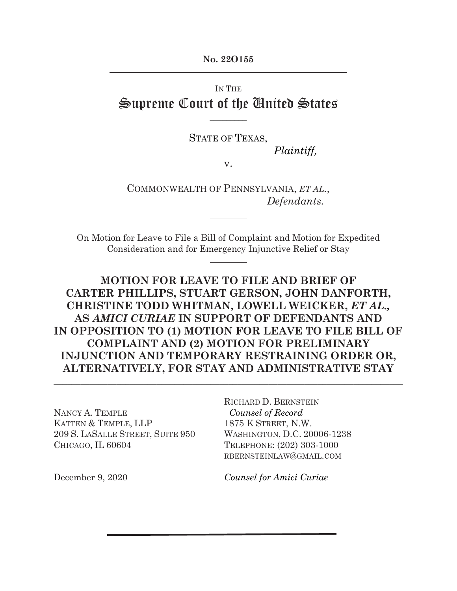**No. 22O155**

# IN THE Supreme Court of the United States

STATE OF TEXAS,

**\_\_\_\_\_\_\_\_\_**

*Plaintiff,* 

v.

COMMONWEALTH OF PENNSYLVANIA, *ET AL., Defendants.*

On Motion for Leave to File a Bill of Complaint and Motion for Expedited Consideration and for Emergency Injunctive Relief or Stay

## **MOTION FOR LEAVE TO FILE AND BRIEF OF CARTER PHILLIPS, STUART GERSON, JOHN DANFORTH, CHRISTINE TODD WHITMAN, LOWELL WEICKER,** *ET AL.,*  **AS** *AMICI CURIAE* **IN SUPPORT OF DEFENDANTS AND IN OPPOSITION TO (1) MOTION FOR LEAVE TO FILE BILL OF COMPLAINT AND (2) MOTION FOR PRELIMINARY INJUNCTION AND TEMPORARY RESTRAINING ORDER OR, ALTERNATIVELY, FOR STAY AND ADMINISTRATIVE STAY**

 $\_$  , and the set of the set of the set of the set of the set of the set of the set of the set of the set of the set of the set of the set of the set of the set of the set of the set of the set of the set of the set of th

NANCY A. TEMPLE KATTEN & TEMPLE, LLP 209 S. LASALLE STREET, SUITE 950 CHICAGO, IL 60604

RICHARD D. BERNSTEIN  *Counsel of Record* 1875 K STREET, N.W. WASHINGTON, D.C. 20006-1238 TELEPHONE: (202) 303-1000 RBERNSTEINLAW@GMAIL.COM

December 9, 2020

*Counsel for Amici Curiae*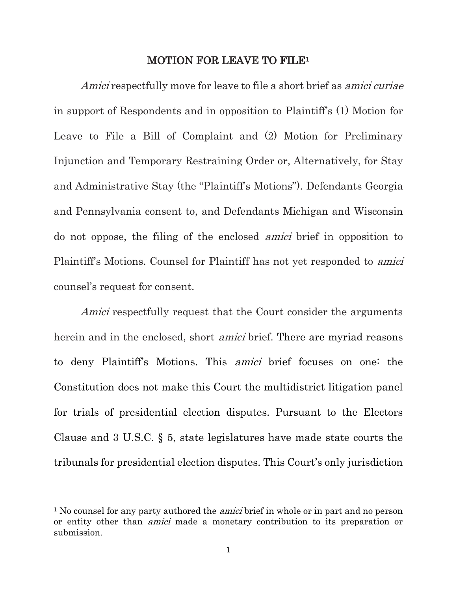### MOTION FOR LEAVE TO FILE<sup>1</sup>

Amici respectfully move for leave to file a short brief as amici curiae in support of Respondents and in opposition to Plaintiff's (1) Motion for Leave to File a Bill of Complaint and (2) Motion for Preliminary Injunction and Temporary Restraining Order or, Alternatively, for Stay and Administrative Stay (the "Plaintiff's Motions"). Defendants Georgia and Pennsylvania consent to, and Defendants Michigan and Wisconsin do not oppose, the filing of the enclosed amici brief in opposition to Plaintiff's Motions. Counsel for Plaintiff has not yet responded to amici counsel's request for consent.

Amici respectfully request that the Court consider the arguments herein and in the enclosed, short *amici* brief. There are myriad reasons to deny Plaintiff's Motions. This amici brief focuses on one: the Constitution does not make this Court the multidistrict litigation panel for trials of presidential election disputes. Pursuant to the Electors Clause and 3 U.S.C. § 5, state legislatures have made state courts the tribunals for presidential election disputes. This Court's only jurisdiction

<sup>&</sup>lt;sup>1</sup> No counsel for any party authored the *amici* brief in whole or in part and no person or entity other than amici made a monetary contribution to its preparation or submission.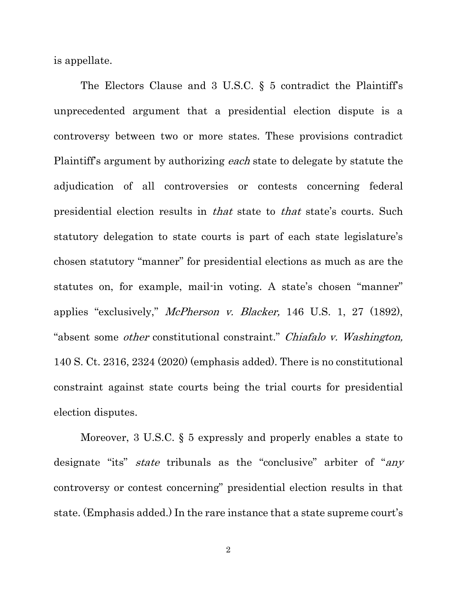is appellate.

The Electors Clause and 3 U.S.C. § 5 contradict the Plaintiff's unprecedented argument that a presidential election dispute is a controversy between two or more states. These provisions contradict Plaintiff's argument by authorizing *each* state to delegate by statute the adjudication of all controversies or contests concerning federal presidential election results in that state to that state's courts. Such statutory delegation to state courts is part of each state legislature's chosen statutory "manner" for presidential elections as much as are the statutes on, for example, mail-in voting. A state's chosen "manner" applies "exclusively," McPherson v. Blacker, 146 U.S. 1, 27 (1892), "absent some other constitutional constraint." Chiafalo v. Washington, 140 S. Ct. 2316, 2324 (2020) (emphasis added). There is no constitutional constraint against state courts being the trial courts for presidential election disputes.

Moreover, 3 U.S.C. § 5 expressly and properly enables a state to designate "its" *state* tribunals as the "conclusive" arbiter of "*any* controversy or contest concerning" presidential election results in that state. (Emphasis added.) In the rare instance that a state supreme court's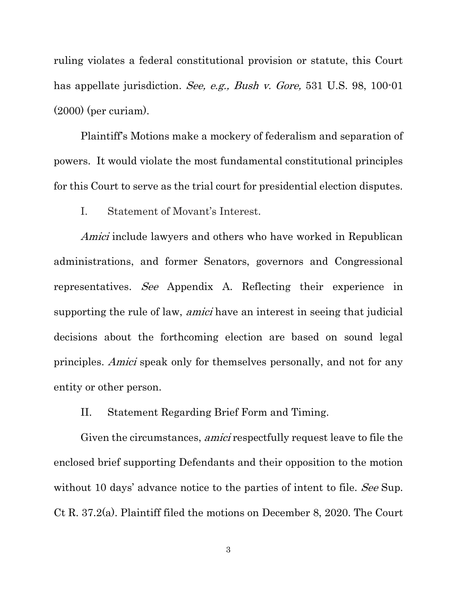ruling violates a federal constitutional provision or statute, this Court has appellate jurisdiction. See, e.g., Bush v. Gore, 531 U.S. 98, 100-01 (2000) (per curiam).

Plaintiff's Motions make a mockery of federalism and separation of powers. It would violate the most fundamental constitutional principles for this Court to serve as the trial court for presidential election disputes.

I. Statement of Movant's Interest.

Amici include lawyers and others who have worked in Republican administrations, and former Senators, governors and Congressional representatives. See Appendix A. Reflecting their experience in supporting the rule of law, amici have an interest in seeing that judicial decisions about the forthcoming election are based on sound legal principles. Amici speak only for themselves personally, and not for any entity or other person.

II. Statement Regarding Brief Form and Timing.

Given the circumstances, *amici* respectfully request leave to file the enclosed brief supporting Defendants and their opposition to the motion without 10 days' advance notice to the parties of intent to file. See Sup. Ct R. 37.2(a). Plaintiff filed the motions on December 8, 2020. The Court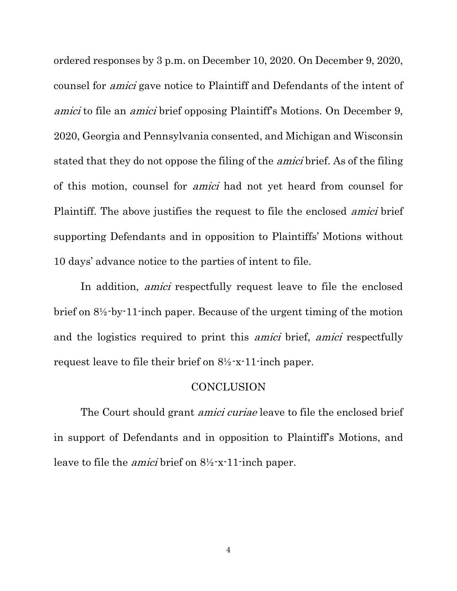ordered responses by 3 p.m. on December 10, 2020. On December 9, 2020, counsel for amici gave notice to Plaintiff and Defendants of the intent of amici to file an amici brief opposing Plaintiff's Motions. On December 9, 2020, Georgia and Pennsylvania consented, and Michigan and Wisconsin stated that they do not oppose the filing of the amici brief. As of the filing of this motion, counsel for amici had not yet heard from counsel for Plaintiff. The above justifies the request to file the enclosed *amici* brief supporting Defendants and in opposition to Plaintiffs' Motions without 10 days' advance notice to the parties of intent to file.

In addition, *amici* respectfully request leave to file the enclosed brief on 8½-by-11-inch paper. Because of the urgent timing of the motion and the logistics required to print this amici brief, amici respectfully request leave to file their brief on 8½-x-11-inch paper.

### **CONCLUSION**

The Court should grant *amici curiae* leave to file the enclosed brief in support of Defendants and in opposition to Plaintiff's Motions, and leave to file the *amici* brief on  $8\frac{1}{2}$ -x-11-inch paper.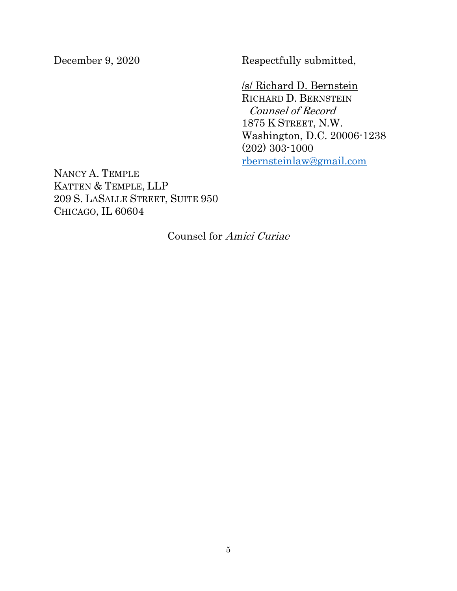December 9, 2020 Respectfully submitted,

/s/ Richard D. Bernstein RICHARD D. BERNSTEIN Counsel of Record 1875 K STREET, N.W. Washington, D.C. 20006-1238 (202) 303-1000 rbernsteinlaw@gmail.com

NANCY A. TEMPLE KATTEN & TEMPLE, LLP 209 S. LASALLE STREET, SUITE 950 CHICAGO, IL 60604

Counsel for Amici Curiae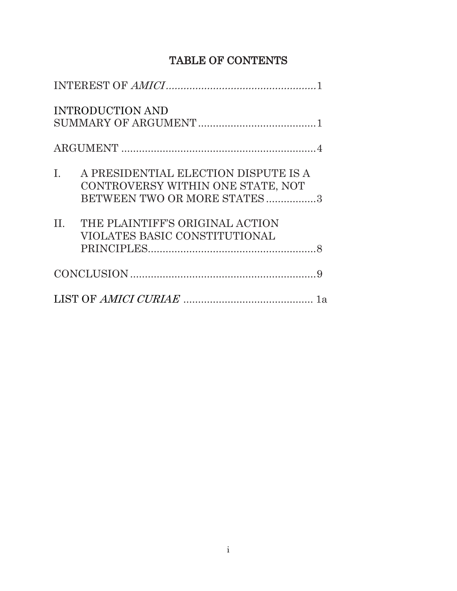# TABLE OF CONTENTS

| <b>INTRODUCTION AND</b>                                                                                     |
|-------------------------------------------------------------------------------------------------------------|
|                                                                                                             |
| I. A PRESIDENTIAL ELECTION DISPUTE IS A<br>CONTROVERSY WITHIN ONE STATE, NOT<br>BETWEEN TWO OR MORE STATES3 |
| II. THE PLAINTIFF'S ORIGINAL ACTION<br>VIOLATES BASIC CONSTITUTIONAL                                        |
|                                                                                                             |
|                                                                                                             |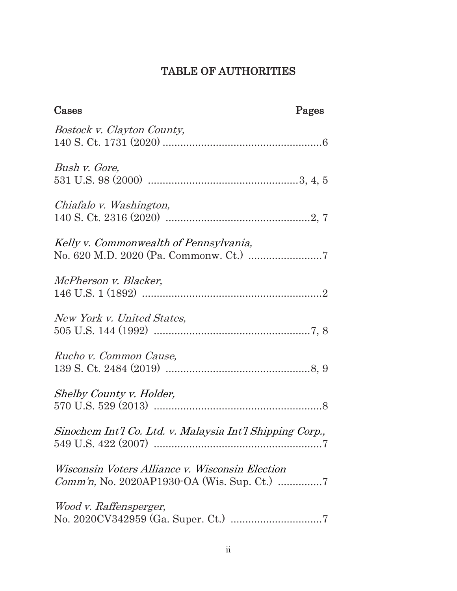# TABLE OF AUTHORITIES

| Cases                                                     | Pages |
|-----------------------------------------------------------|-------|
| Bostock v. Clayton County,                                |       |
| Bush v. Gore,                                             |       |
| Chiafalo v. Washington,                                   |       |
| Kelly v. Commonwealth of Pennsylvania,                    |       |
| McPherson v. Blacker,                                     |       |
| New York v. United States,                                |       |
| Rucho v. Common Cause,                                    |       |
| Shelby County v. Holder,                                  |       |
| Sinochem Int'l Co. Ltd. v. Malaysia Int'l Shipping Corp., |       |
| Wisconsin Voters Alliance v. Wisconsin Election           |       |
| Wood v. Raffensperger,                                    |       |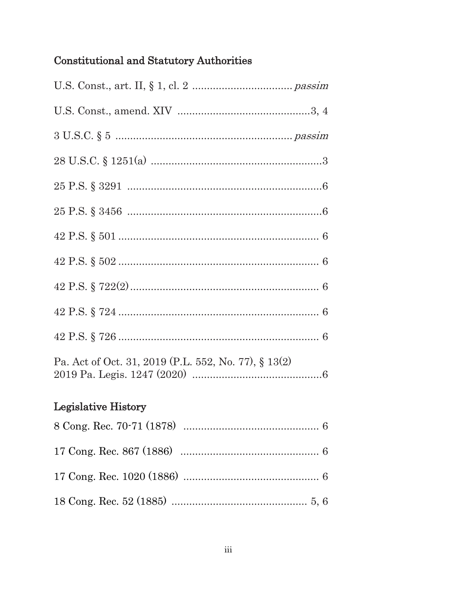# Constitutional and Statutory Authorities

| Pa. Act of Oct. 31, 2019 (P.L. 552, No. 77), § 13(2) |
|------------------------------------------------------|
| <b>Legislative History</b>                           |
|                                                      |
|                                                      |
|                                                      |
|                                                      |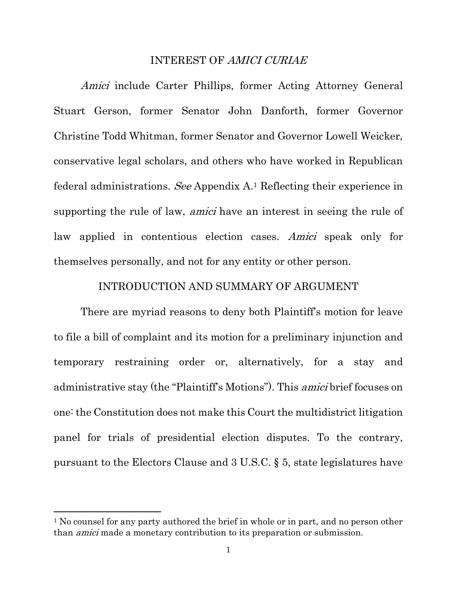### INTEREST OF AMICI CURIAE

Amici include Carter Phillips, former Acting Attorney General Stuart Gerson, former Senator John Danforth, former Governor Christine Todd Whitman, former Senator and Governor Lowell Weicker, conservative legal scholars, and others who have worked in Republican federal administrations. See Appendix A.<sup>1</sup> Reflecting their experience in supporting the rule of law, *amici* have an interest in seeing the rule of law applied in contentious election cases. Amici speak only for themselves personally, and not for any entity or other person.

### INTRODUCTION AND SUMMARY OF ARGUMENT

There are myriad reasons to deny both Plaintiff's motion for leave to file a bill of complaint and its motion for a preliminary injunction and temporary restraining order or, alternatively, for a stay and administrative stay (the "Plaintiff's Motions"). This amici brief focuses on one: the Constitution does not make this Court the multidistrict litigation panel for trials of presidential election disputes. To the contrary, pursuant to the Electors Clause and 3 U.S.C. § 5, state legislatures have

<sup>&</sup>lt;sup>1</sup> No counsel for any party authored the brief in whole or in part, and no person other than amici made a monetary contribution to its preparation or submission.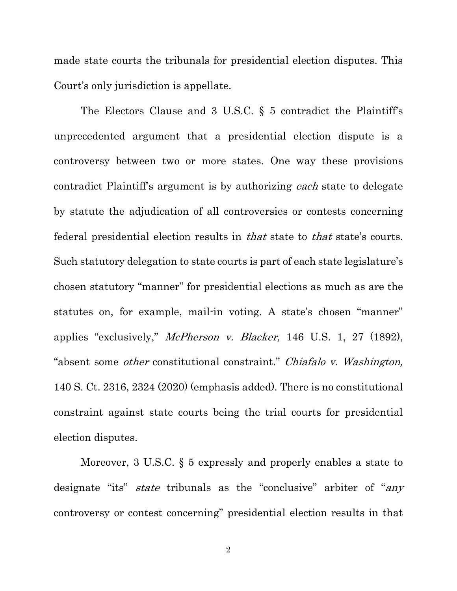made state courts the tribunals for presidential election disputes. This Court's only jurisdiction is appellate.

The Electors Clause and 3 U.S.C. § 5 contradict the Plaintiff's unprecedented argument that a presidential election dispute is a controversy between two or more states. One way these provisions contradict Plaintiff's argument is by authorizing each state to delegate by statute the adjudication of all controversies or contests concerning federal presidential election results in that state to that state's courts. Such statutory delegation to state courts is part of each state legislature's chosen statutory "manner" for presidential elections as much as are the statutes on, for example, mail-in voting. A state's chosen "manner" applies "exclusively," McPherson v. Blacker, 146 U.S. 1, 27 (1892), "absent some other constitutional constraint." Chiafalo v. Washington, 140 S. Ct. 2316, 2324 (2020) (emphasis added). There is no constitutional constraint against state courts being the trial courts for presidential election disputes.

Moreover, 3 U.S.C. § 5 expressly and properly enables a state to designate "its" *state* tribunals as the "conclusive" arbiter of "any controversy or contest concerning" presidential election results in that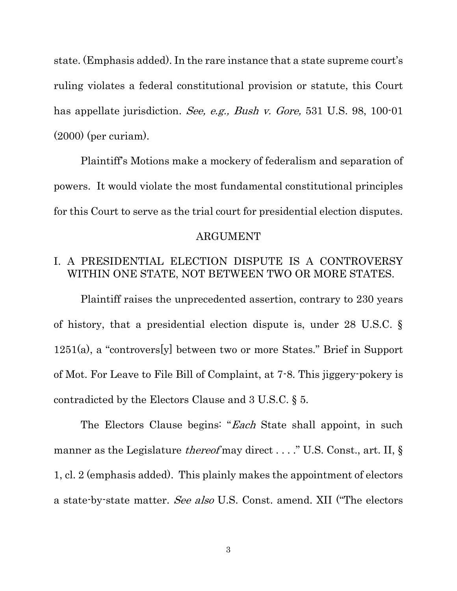state. (Emphasis added). In the rare instance that a state supreme court's ruling violates a federal constitutional provision or statute, this Court has appellate jurisdiction. See, e.g., Bush v. Gore, 531 U.S. 98, 100-01 (2000) (per curiam).

Plaintiff's Motions make a mockery of federalism and separation of powers. It would violate the most fundamental constitutional principles for this Court to serve as the trial court for presidential election disputes.

### ARGUMENT

## I. A PRESIDENTIAL ELECTION DISPUTE IS A CONTROVERSY WITHIN ONE STATE, NOT BETWEEN TWO OR MORE STATES.

Plaintiff raises the unprecedented assertion, contrary to 230 years of history, that a presidential election dispute is, under 28 U.S.C. § 1251(a), a "controvers[y] between two or more States." Brief in Support of Mot. For Leave to File Bill of Complaint, at 7-8. This jiggery-pokery is contradicted by the Electors Clause and 3 U.S.C. § 5.

The Electors Clause begins: "Each State shall appoint, in such manner as the Legislature *thereof* may direct . . . . " U.S. Const., art. II, § 1, cl. 2 (emphasis added). This plainly makes the appointment of electors a state-by-state matter. See also U.S. Const. amend. XII ("The electors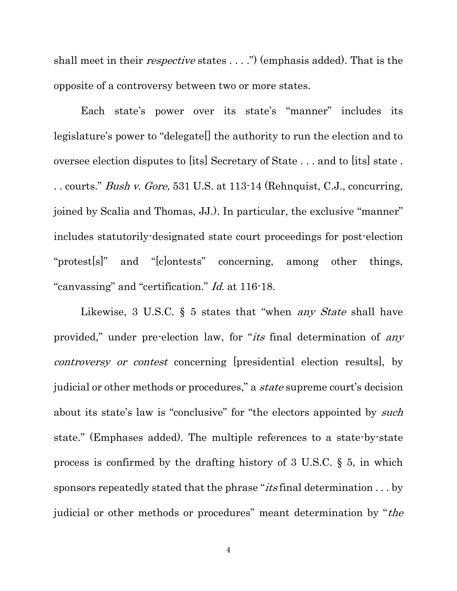shall meet in their *respective* states . . . .") (emphasis added). That is the opposite of a controversy between two or more states.

Each state's power over its state's "manner" includes its legislature's power to "delegate[] the authority to run the election and to oversee election disputes to [its] Secretary of State . . . and to [its] state . .. courts." *Bush v. Gore*, 531 U.S. at 113-14 (Rehnquist, C.J., concurring, joined by Scalia and Thomas, JJ.). In particular, the exclusive "manner" includes statutorily-designated state court proceedings for post-election "protest[s]" and "[c]ontests" concerning, among other things, "canvassing" and "certification." Id. at 116-18.

Likewise, 3 U.S.C. § 5 states that "when *any State* shall have provided," under pre-election law, for "its final determination of any controversy or contest concerning [presidential election results], by judicial or other methods or procedures," a *state* supreme court's decision about its state's law is "conclusive" for "the electors appointed by *such* state." (Emphases added). The multiple references to a state-by-state process is confirmed by the drafting history of 3 U.S.C. § 5, in which sponsors repeatedly stated that the phrase " $its$  final determination . . . by judicial or other methods or procedures" meant determination by "the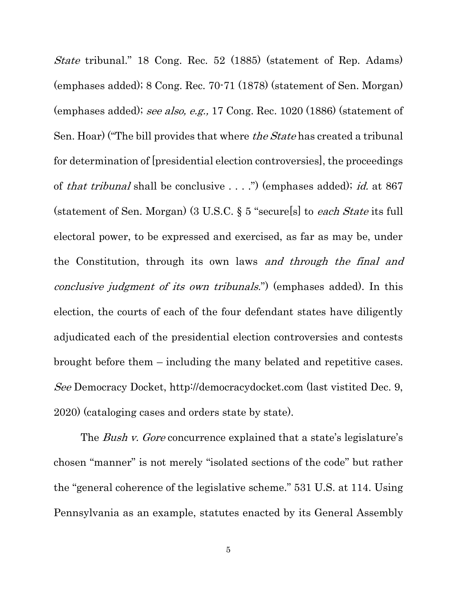State tribunal." 18 Cong. Rec. 52 (1885) (statement of Rep. Adams) (emphases added); 8 Cong. Rec. 70-71 (1878) (statement of Sen. Morgan) (emphases added); see also, e.g., 17 Cong. Rec. 1020 (1886) (statement of Sen. Hoar) ("The bill provides that where *the State* has created a tribunal for determination of [presidential election controversies], the proceedings of that tribunal shall be conclusive . . . .") (emphases added); id. at 867 (statement of Sen. Morgan) (3 U.S.C. § 5 "secure[s] to each State its full electoral power, to be expressed and exercised, as far as may be, under the Constitution, through its own laws and through the final and conclusive judgment of its own tribunals.") (emphases added). In this election, the courts of each of the four defendant states have diligently adjudicated each of the presidential election controversies and contests brought before them – including the many belated and repetitive cases. See Democracy Docket, http://democracydocket.com (last vistited Dec. 9, 2020) (cataloging cases and orders state by state).

The *Bush v. Gore* concurrence explained that a state's legislature's chosen "manner" is not merely "isolated sections of the code" but rather the "general coherence of the legislative scheme." 531 U.S. at 114. Using Pennsylvania as an example, statutes enacted by its General Assembly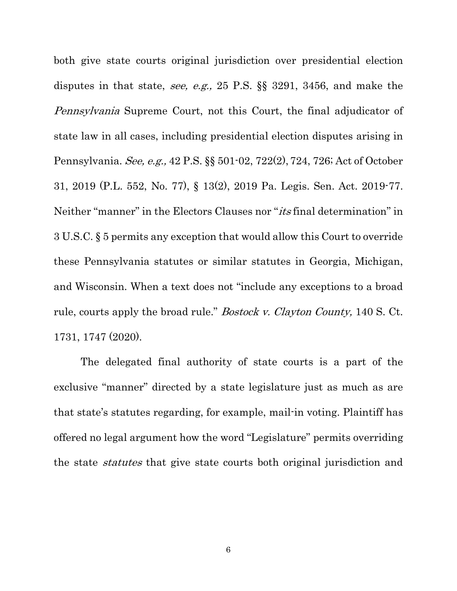both give state courts original jurisdiction over presidential election disputes in that state, see, e.g., 25 P.S. §§ 3291, 3456, and make the Pennsylvania Supreme Court, not this Court, the final adjudicator of state law in all cases, including presidential election disputes arising in Pennsylvania. See, e.g., 42 P.S. §§ 501-02, 722(2), 724, 726; Act of October 31, 2019 (P.L. 552, No. 77), § 13(2), 2019 Pa. Legis. Sen. Act. 2019-77. Neither "manner" in the Electors Clauses nor "its final determination" in 3 U.S.C. § 5 permits any exception that would allow this Court to override these Pennsylvania statutes or similar statutes in Georgia, Michigan, and Wisconsin. When a text does not "include any exceptions to a broad rule, courts apply the broad rule." Bostock v. Clayton County, 140 S. Ct. 1731, 1747 (2020).

The delegated final authority of state courts is a part of the exclusive "manner" directed by a state legislature just as much as are that state's statutes regarding, for example, mail-in voting. Plaintiff has offered no legal argument how the word "Legislature" permits overriding the state statutes that give state courts both original jurisdiction and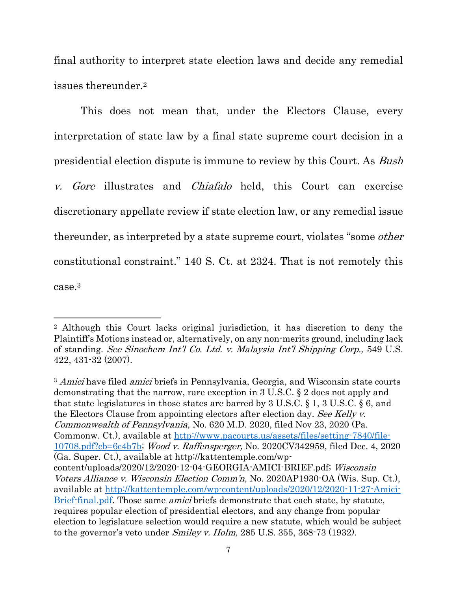final authority to interpret state election laws and decide any remedial issues thereunder.<sup>2</sup>

This does not mean that, under the Electors Clause, every interpretation of state law by a final state supreme court decision in a presidential election dispute is immune to review by this Court. As Bush v. Gore illustrates and Chiafalo held, this Court can exercise discretionary appellate review if state election law, or any remedial issue thereunder, as interpreted by a state supreme court, violates "some other constitutional constraint." 140 S. Ct. at 2324. That is not remotely this case.<sup>3</sup>

<sup>3</sup> Amici have filed *amici* briefs in Pennsylvania, Georgia, and Wisconsin state courts demonstrating that the narrow, rare exception in 3 U.S.C. § 2 does not apply and that state legislatures in those states are barred by 3 U.S.C. § 1, 3 U.S.C. § 6, and the Electors Clause from appointing electors after election day. See Kelly v. Commonwealth of Pennsylvania, No. 620 M.D. 2020, filed Nov 23, 2020 (Pa. Commonw. Ct.), available at http://www.pacourts.us/assets/files/setting-7840/file-10708.pdf?cb=6c4b7b; Wood v. Raffensperger, No. 2020CV342959, filed Dec. 4, 2020 (Ga. Super. Ct.), available at http://kattentemple.com/wpcontent/uploads/2020/12/2020-12-04-GEORGIA-AMICI-BRIEF.pdf; Wisconsin Voters Alliance v. Wisconsin Election Comm'n, No. 2020AP1930-OA (Wis. Sup. Ct.), available at http://kattentemple.com/wp-content/uploads/2020/12/2020-11-27-Amici-Brief-final.pdf. Those same *amici* briefs demonstrate that each state, by statute, requires popular election of presidential electors, and any change from popular election to legislature selection would require a new statute, which would be subject to the governor's veto under Smiley v. Holm, 285 U.S. 355, 368-73 (1932).

<sup>2</sup> Although this Court lacks original jurisdiction, it has discretion to deny the Plaintiff's Motions instead or, alternatively, on any non-merits ground, including lack of standing. See Sinochem Int'l Co. Ltd. v. Malaysia Int'l Shipping Corp., 549 U.S. 422, 431-32 (2007).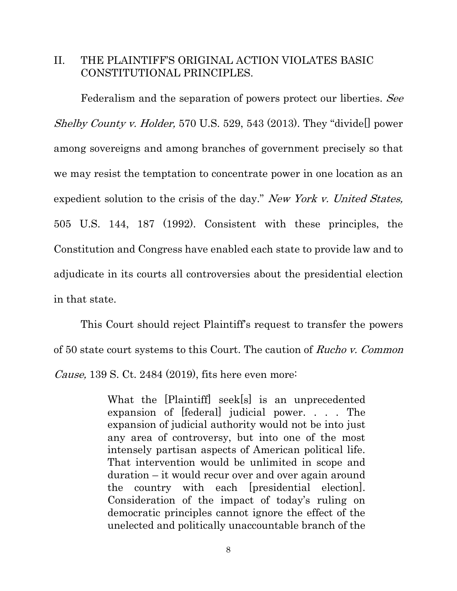## II. THE PLAINTIFF'S ORIGINAL ACTION VIOLATES BASIC CONSTITUTIONAL PRINCIPLES.

Federalism and the separation of powers protect our liberties. See *Shelby County v. Holder,* 570 U.S. 529, 543 (2013). They "divide  $\Box$  power among sovereigns and among branches of government precisely so that we may resist the temptation to concentrate power in one location as an expedient solution to the crisis of the day." New York v. United States, 505 U.S. 144, 187 (1992). Consistent with these principles, the Constitution and Congress have enabled each state to provide law and to adjudicate in its courts all controversies about the presidential election in that state.

This Court should reject Plaintiff's request to transfer the powers of 50 state court systems to this Court. The caution of Rucho v. Common Cause, 139 S. Ct. 2484 (2019), fits here even more:

> What the [Plaintiff] seek[s] is an unprecedented expansion of [federal] judicial power. . . . The expansion of judicial authority would not be into just any area of controversy, but into one of the most intensely partisan aspects of American political life. That intervention would be unlimited in scope and duration – it would recur over and over again around the country with each [presidential election]. Consideration of the impact of today's ruling on democratic principles cannot ignore the effect of the unelected and politically unaccountable branch of the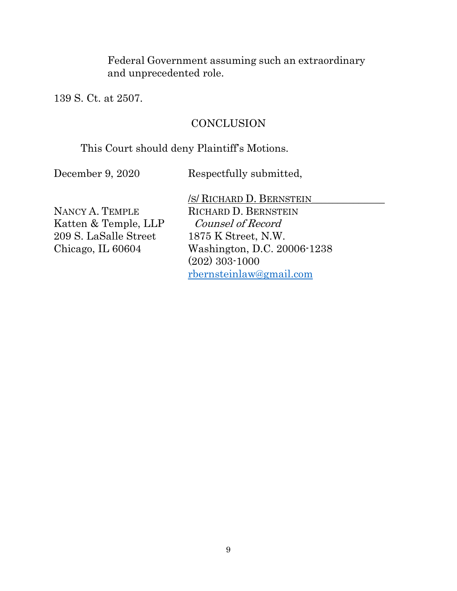Federal Government assuming such an extraordinary and unprecedented role.

139 S. Ct. at 2507.

## **CONCLUSION**

## This Court should deny Plaintiff's Motions.

December 9, 2020 Respectfully submitted,

Katten & Temple, LLP Counsel of Record 209 S. LaSalle Street 1875 K Street, N.W.

/S/ RICHARD D. BERNSTEIN\_\_\_\_\_\_\_\_\_\_\_\_\_\_ NANCY A. TEMPLE RICHARD D. BERNSTEIN Chicago, IL 60604 Washington, D.C. 20006-1238 (202) 303-1000 rbernsteinlaw@gmail.com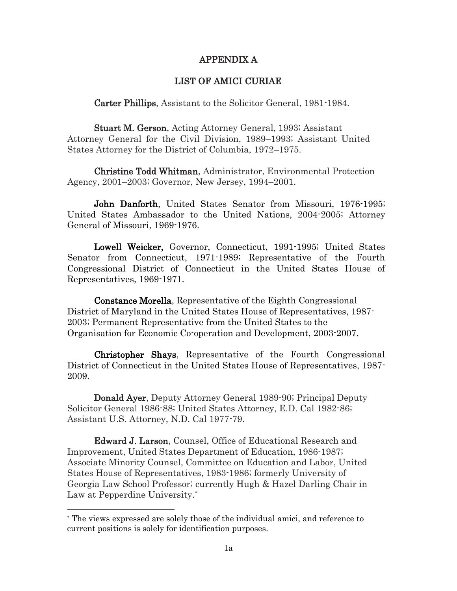#### APPENDIX A

#### LIST OF AMICI CURIAE

Carter Phillips, Assistant to the Solicitor General, 1981-1984.

Stuart M. Gerson, Acting Attorney General, 1993; Assistant Attorney General for the Civil Division, 1989–1993; Assistant United States Attorney for the District of Columbia, 1972–1975.

Christine Todd Whitman, Administrator, Environmental Protection Agency, 2001–2003; Governor, New Jersey, 1994–2001.

John Danforth, United States Senator from Missouri, 1976-1995; United States Ambassador to the United Nations, 2004-2005; Attorney General of Missouri, 1969-1976.

Lowell Weicker, Governor, Connecticut, 1991-1995; United States Senator from Connecticut, 1971-1989; Representative of the Fourth Congressional District of Connecticut in the United States House of Representatives, 1969-1971.

Constance Morella, Representative of the Eighth Congressional District of Maryland in the United States House of Representatives, 1987- 2003; Permanent Representative from the United States to the Organisation for Economic Co-operation and Development, 2003-2007.

Christopher Shays, Representative of the Fourth Congressional District of Connecticut in the United States House of Representatives, 1987- 2009.

Donald Ayer, Deputy Attorney General 1989-90; Principal Deputy Solicitor General 1986-88; United States Attorney, E.D. Cal 1982-86; Assistant U.S. Attorney, N.D. Cal 1977-79.

Edward J. Larson, Counsel, Office of Educational Research and Improvement, United States Department of Education, 1986-1987; Associate Minority Counsel, Committee on Education and Labor, United States House of Representatives, 1983-1986; formerly University of Georgia Law School Professor; currently Hugh & Hazel Darling Chair in Law at Pepperdine University.\*

<sup>\*</sup> The views expressed are solely those of the individual amici, and reference to current positions is solely for identification purposes.